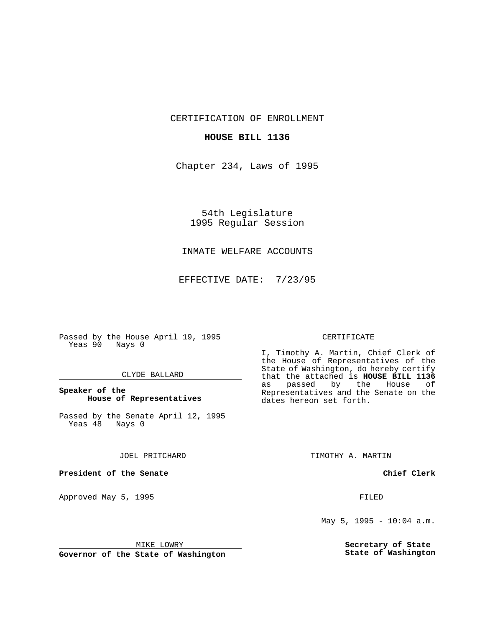CERTIFICATION OF ENROLLMENT

## **HOUSE BILL 1136**

Chapter 234, Laws of 1995

54th Legislature 1995 Regular Session

# INMATE WELFARE ACCOUNTS

EFFECTIVE DATE: 7/23/95

Passed by the House April 19, 1995 Yeas 90 Nays 0

## CLYDE BALLARD

## **Speaker of the House of Representatives**

Passed by the Senate April 12, 1995<br>Yeas 48 Nays 0 Yeas 48

#### JOEL PRITCHARD

**President of the Senate**

Approved May 5, 1995 **FILED** 

#### MIKE LOWRY

**Governor of the State of Washington**

#### CERTIFICATE

I, Timothy A. Martin, Chief Clerk of the House of Representatives of the State of Washington, do hereby certify that the attached is **HOUSE BILL 1136** as passed by the House of Representatives and the Senate on the dates hereon set forth.

TIMOTHY A. MARTIN

## **Chief Clerk**

May 5, 1995 - 10:04 a.m.

**Secretary of State State of Washington**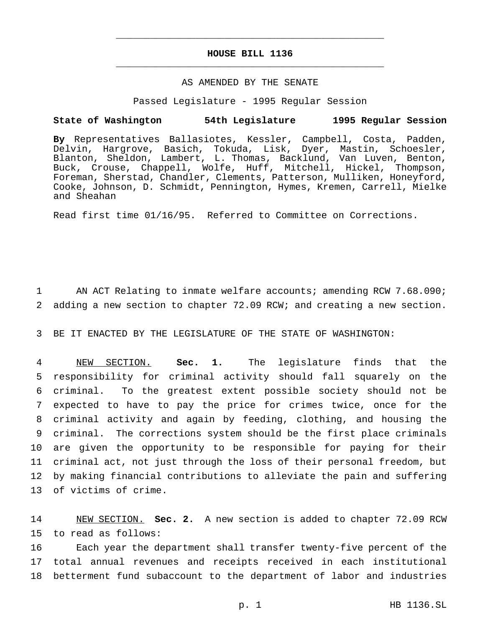# **HOUSE BILL 1136** \_\_\_\_\_\_\_\_\_\_\_\_\_\_\_\_\_\_\_\_\_\_\_\_\_\_\_\_\_\_\_\_\_\_\_\_\_\_\_\_\_\_\_\_\_\_\_

\_\_\_\_\_\_\_\_\_\_\_\_\_\_\_\_\_\_\_\_\_\_\_\_\_\_\_\_\_\_\_\_\_\_\_\_\_\_\_\_\_\_\_\_\_\_\_

## AS AMENDED BY THE SENATE

Passed Legislature - 1995 Regular Session

#### **State of Washington 54th Legislature 1995 Regular Session**

**By** Representatives Ballasiotes, Kessler, Campbell, Costa, Padden, Delvin, Hargrove, Basich, Tokuda, Lisk, Dyer, Mastin, Schoesler, Blanton, Sheldon, Lambert, L. Thomas, Backlund, Van Luven, Benton, Buck, Crouse, Chappell, Wolfe, Huff, Mitchell, Hickel, Thompson, Foreman, Sherstad, Chandler, Clements, Patterson, Mulliken, Honeyford, Cooke, Johnson, D. Schmidt, Pennington, Hymes, Kremen, Carrell, Mielke and Sheahan

Read first time 01/16/95. Referred to Committee on Corrections.

1 AN ACT Relating to inmate welfare accounts; amending RCW 7.68.090; 2 adding a new section to chapter 72.09 RCW; and creating a new section.

3 BE IT ENACTED BY THE LEGISLATURE OF THE STATE OF WASHINGTON:

 NEW SECTION. **Sec. 1.** The legislature finds that the responsibility for criminal activity should fall squarely on the criminal. To the greatest extent possible society should not be expected to have to pay the price for crimes twice, once for the criminal activity and again by feeding, clothing, and housing the criminal. The corrections system should be the first place criminals are given the opportunity to be responsible for paying for their criminal act, not just through the loss of their personal freedom, but by making financial contributions to alleviate the pain and suffering of victims of crime.

14 NEW SECTION. **Sec. 2.** A new section is added to chapter 72.09 RCW 15 to read as follows:

16 Each year the department shall transfer twenty-five percent of the 17 total annual revenues and receipts received in each institutional 18 betterment fund subaccount to the department of labor and industries